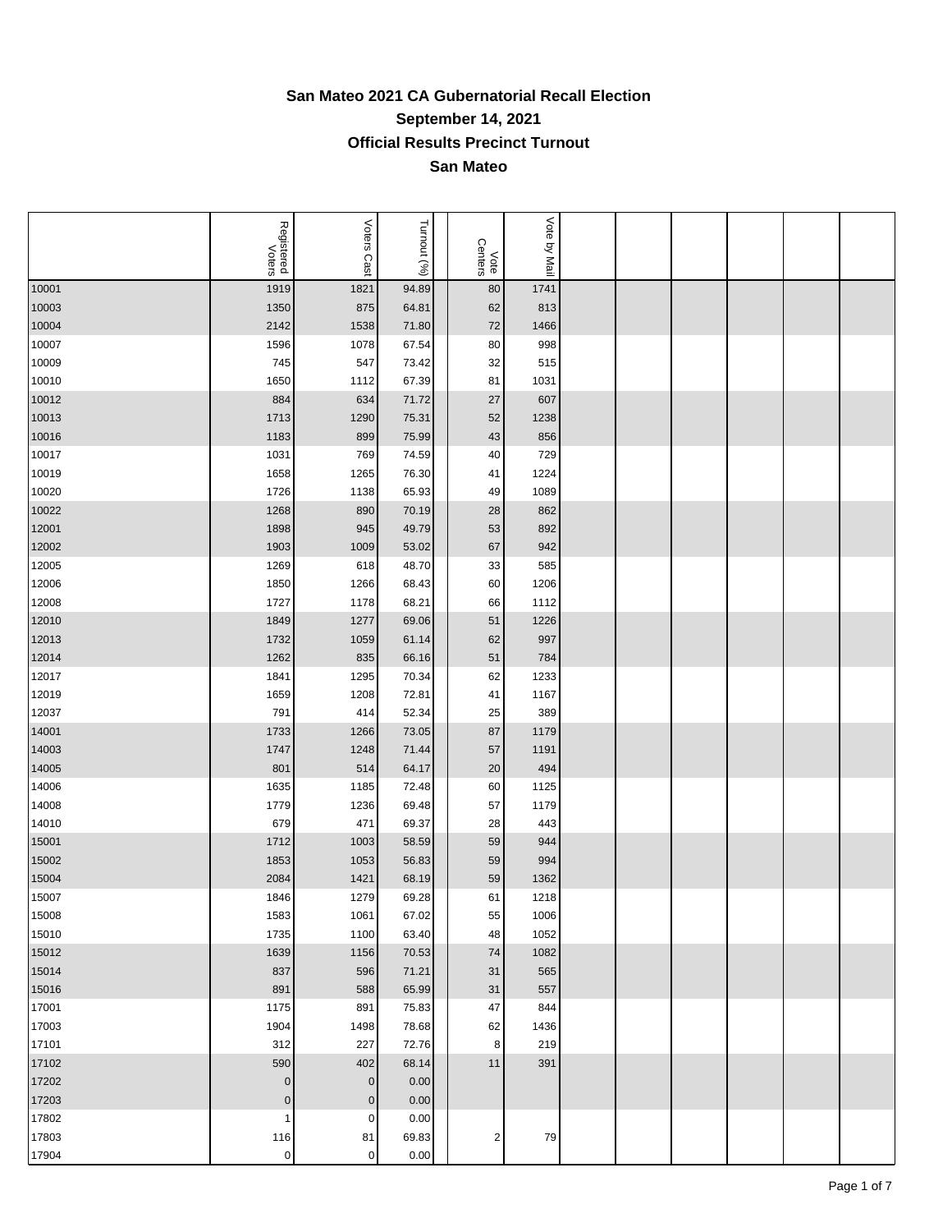## **San Mateo 2021 CA Gubernatorial Recall Election September 14, 2021 Official Results Precinct Turnout San Mateo**

|       | Registered<br>Voters | Voters Cast | Turnout (%) | Vote<br>Centers | Vote by Mail |  |  |  |
|-------|----------------------|-------------|-------------|-----------------|--------------|--|--|--|
| 10001 | 1919                 | 1821        | 94.89       | 80              | 1741         |  |  |  |
| 10003 | 1350                 | 875         | 64.81       | 62              | 813          |  |  |  |
| 10004 | 2142                 | 1538        | 71.80       | 72              | 1466         |  |  |  |
| 10007 | 1596                 | 1078        | 67.54       | 80              | 998          |  |  |  |
| 10009 | 745                  | 547         | 73.42       | 32              | 515          |  |  |  |
| 10010 | 1650                 | 1112        | 67.39       | 81              | 1031         |  |  |  |
| 10012 | 884                  | 634         | 71.72       | 27              | 607          |  |  |  |
| 10013 | 1713                 | 1290        | 75.31       | 52              | 1238         |  |  |  |
| 10016 | 1183                 | 899         | 75.99       | 43              | 856          |  |  |  |
| 10017 | 1031                 | 769         | 74.59       | 40              | 729          |  |  |  |
| 10019 | 1658                 | 1265        | 76.30       | 41              | 1224         |  |  |  |
| 10020 | 1726                 | 1138        | 65.93       | 49              | 1089         |  |  |  |
| 10022 | 1268                 | 890         | 70.19       | 28              | 862          |  |  |  |
| 12001 | 1898                 | 945         | 49.79       | 53              | 892          |  |  |  |
| 12002 | 1903                 | 1009        | 53.02       | 67              | 942          |  |  |  |
| 12005 | 1269                 | 618         | 48.70       | 33              | 585          |  |  |  |
| 12006 | 1850                 | 1266        | 68.43       | 60              | 1206         |  |  |  |
| 12008 | 1727                 | 1178        | 68.21       | 66              | 1112         |  |  |  |
| 12010 | 1849                 | 1277        | 69.06       | 51              | 1226         |  |  |  |
| 12013 | 1732                 | 1059        | 61.14       | 62              | 997          |  |  |  |
| 12014 | 1262                 | 835         | 66.16       | 51              | 784          |  |  |  |
| 12017 | 1841                 | 1295        | 70.34       | 62              | 1233         |  |  |  |
| 12019 | 1659                 | 1208        | 72.81       | 41              | 1167         |  |  |  |
| 12037 | 791                  | 414         | 52.34       | 25              | 389          |  |  |  |
| 14001 | 1733                 | 1266        | 73.05       | 87              | 1179         |  |  |  |
| 14003 | 1747                 | 1248        | 71.44       | 57              | 1191         |  |  |  |
| 14005 | 801                  | 514         | 64.17       | 20              | 494          |  |  |  |
| 14006 | 1635                 | 1185        | 72.48       | 60              | 1125         |  |  |  |
| 14008 | 1779                 | 1236        | 69.48       | 57              | 1179         |  |  |  |
| 14010 | 679                  | 471         | 69.37       | 28              | 443          |  |  |  |
| 15001 | 1712                 | 1003        | 58.59       | 59              | 944          |  |  |  |
| 15002 | 1853                 | 1053        | 56.83       | 59              | 994          |  |  |  |
| 15004 | 2084                 | 1421        | 68.19       | 59              | 1362         |  |  |  |
| 15007 | 1846                 | 1279        | 69.28       | 61              | 1218         |  |  |  |
| 15008 | 1583                 | 1061        | 67.02       | 55              | 1006         |  |  |  |
| 15010 | 1735                 | 1100        | 63.40       | 48              | 1052         |  |  |  |
| 15012 | 1639                 | 1156        | 70.53       | 74              | 1082         |  |  |  |
| 15014 | 837                  | 596         | 71.21       | 31              | 565          |  |  |  |
| 15016 | 891                  | 588         | 65.99       | 31              | 557          |  |  |  |
| 17001 | 1175                 | 891         | 75.83       | 47              | 844          |  |  |  |
| 17003 | 1904                 | 1498        | 78.68       | 62              | 1436         |  |  |  |
| 17101 | 312                  | 227         | 72.76       | 8               | 219          |  |  |  |
| 17102 | 590                  | 402         | 68.14       | 11              | 391          |  |  |  |
| 17202 | $\pmb{0}$            | $\pmb{0}$   | 0.00        |                 |              |  |  |  |
| 17203 | $\pmb{0}$            | $\pmb{0}$   | 0.00        |                 |              |  |  |  |
| 17802 | $\mathbf 1$          | $\pmb{0}$   | 0.00        |                 |              |  |  |  |
| 17803 | 116                  | 81          | 69.83       | $\sqrt{2}$      | 79           |  |  |  |
| 17904 | $\pmb{0}$            | $\mathbf 0$ | 0.00        |                 |              |  |  |  |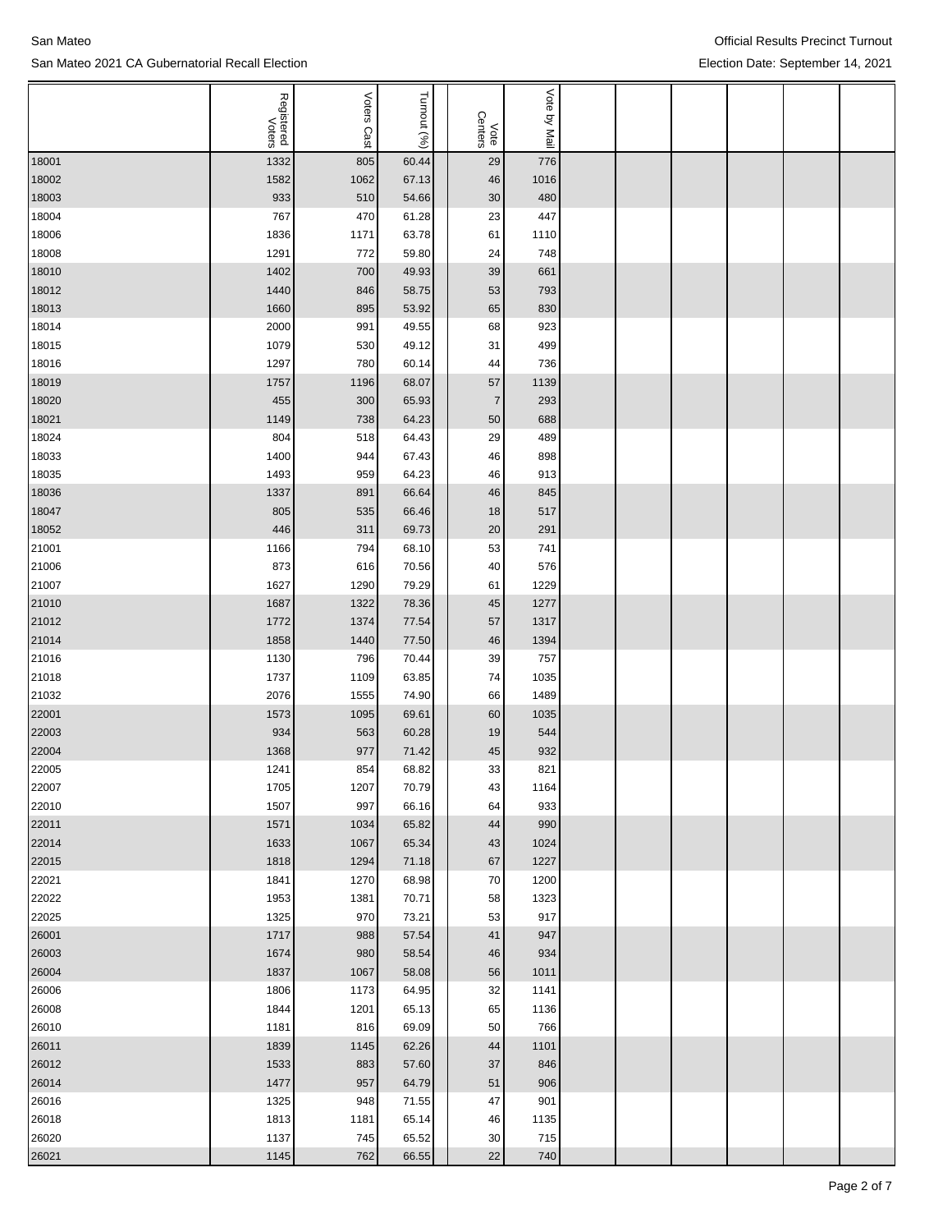|                | Registered<br>Voters | Voters<br>Cast | Turnout (%)    | Vote<br>Centers | Vote by Mail |  |  |  |
|----------------|----------------------|----------------|----------------|-----------------|--------------|--|--|--|
| 18001          | 1332                 | 805            | 60.44          | 29              | 776          |  |  |  |
| 18002          | 1582                 | 1062           | 67.13          | 46              | 1016         |  |  |  |
| 18003          | 933                  | 510            | 54.66          | 30              | 480          |  |  |  |
| 18004          | 767                  | 470            | 61.28          | 23              | 447          |  |  |  |
| 18006          | 1836                 | 1171           | 63.78          | 61              | 1110         |  |  |  |
| 18008          | 1291                 | 772            | 59.80          | 24              | 748          |  |  |  |
| 18010          | 1402                 | 700            | 49.93          | 39              | 661          |  |  |  |
| 18012          | 1440                 | 846            | 58.75          | 53              | 793          |  |  |  |
| 18013          | 1660                 | 895            | 53.92          | 65              | 830          |  |  |  |
| 18014          | 2000                 | 991            | 49.55          | 68              | 923          |  |  |  |
| 18015          | 1079                 | 530            | 49.12          | 31              | 499          |  |  |  |
| 18016          | 1297                 | 780            | 60.14          | 44              | 736          |  |  |  |
| 18019          | 1757                 | 1196           | 68.07          | 57              | 1139         |  |  |  |
| 18020          | 455                  | 300            | 65.93          | $\overline{7}$  | 293          |  |  |  |
| 18021          | 1149                 | 738            | 64.23          | 50              | 688          |  |  |  |
| 18024          | 804                  | 518            | 64.43          | 29              | 489          |  |  |  |
| 18033          | 1400                 | 944            | 67.43          | 46              | 898          |  |  |  |
| 18035          | 1493                 | 959            | 64.23          | 46              | 913          |  |  |  |
| 18036          | 1337                 | 891            | 66.64          | 46              | 845          |  |  |  |
| 18047          | 805                  | 535            | 66.46          | 18              | 517          |  |  |  |
| 18052          | 446                  | 311            | 69.73          | 20              | 291          |  |  |  |
| 21001          | 1166                 | 794            | 68.10          | 53              | 741          |  |  |  |
| 21006          | 873                  | 616            | 70.56          | 40              | 576          |  |  |  |
| 21007          | 1627                 | 1290           | 79.29          | 61              | 1229         |  |  |  |
| 21010          | 1687                 | 1322           | 78.36          | 45              | 1277         |  |  |  |
| 21012          | 1772                 | 1374           | 77.54          | 57              | 1317         |  |  |  |
| 21014          | 1858                 | 1440           | 77.50          | 46              | 1394         |  |  |  |
| 21016          | 1130                 | 796            | 70.44          | 39              | 757          |  |  |  |
| 21018          | 1737                 | 1109           | 63.85          | 74              | 1035         |  |  |  |
| 21032          | 2076                 | 1555           | 74.90          | 66              | 1489         |  |  |  |
| 22001          | 1573                 | 1095           | 69.61          | 60              | 1035         |  |  |  |
| 22003          | 934                  | 563            | 60.28          | 19              | 544          |  |  |  |
| 22004          | 1368                 | 977            | 71.42          | 45              | 932          |  |  |  |
| 22005          | 1241                 | 854            | 68.82          | 33              | 821          |  |  |  |
| 22007          | 1705                 | 1207           | 70.79          | 43              | 1164         |  |  |  |
| 22010          | 1507                 | 997            | 66.16          | 64              | 933          |  |  |  |
| 22011          | 1571                 | 1034           | 65.82          | 44              | 990          |  |  |  |
| 22014          | 1633                 | 1067           | 65.34          | 43              | 1024         |  |  |  |
| 22015          | 1818                 | 1294           | 71.18          | 67              | 1227         |  |  |  |
| 22021          | 1841                 | 1270           | 68.98          | 70              | 1200         |  |  |  |
| 22022          | 1953                 | 1381           | 70.71          | 58              | 1323         |  |  |  |
| 22025          | 1325                 | 970            | 73.21          | 53              | 917          |  |  |  |
| 26001          | 1717                 | 988            | 57.54          | 41              | 947          |  |  |  |
| 26003          | 1674                 | 980            | 58.54          | 46              | 934          |  |  |  |
| 26004          | 1837                 | 1067           | 58.08          | 56              | 1011         |  |  |  |
| 26006          | 1806                 | 1173           | 64.95          | 32              | 1141         |  |  |  |
| 26008<br>26010 | 1844<br>1181         | 1201<br>816    | 65.13<br>69.09 | 65<br>50        | 1136<br>766  |  |  |  |
|                | 1839                 | 1145           | 62.26          | 44              | 1101         |  |  |  |
| 26011<br>26012 | 1533                 | 883            | 57.60          | 37              | 846          |  |  |  |
| 26014          | 1477                 | 957            | 64.79          | 51              | 906          |  |  |  |
| 26016          | 1325                 | 948            | 71.55          | 47              | 901          |  |  |  |
| 26018          | 1813                 | 1181           | 65.14          | 46              | 1135         |  |  |  |
| 26020          | 1137                 | 745            | 65.52          | 30              | 715          |  |  |  |
| 26021          | 1145                 | 762            | 66.55          | 22              | 740          |  |  |  |
|                |                      |                |                |                 |              |  |  |  |

Official Results Precinct Turnout Election Date: September 14, 2021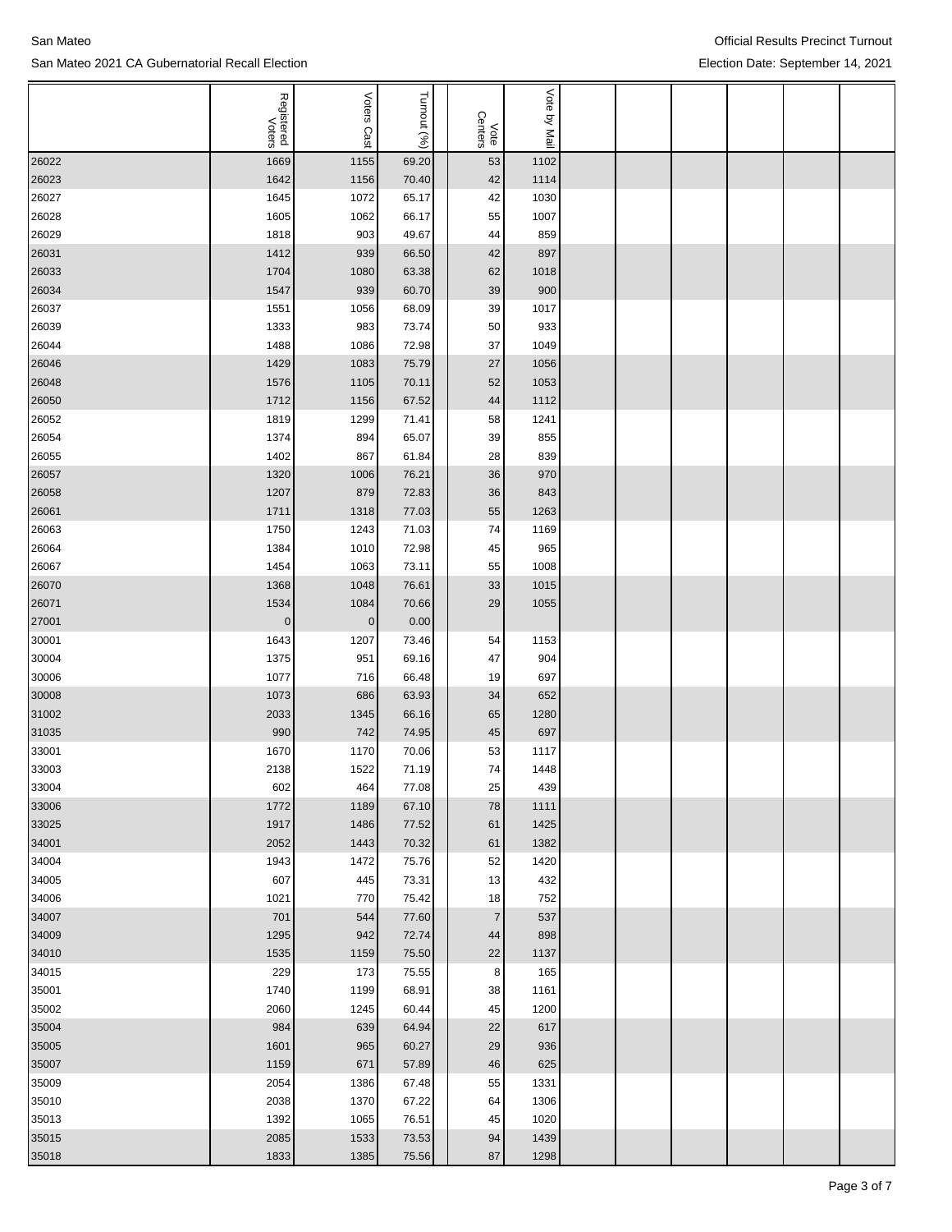|       | Registered<br>Voters | Voters<br>Cast          | Turnout (%)   | Vote<br>Centers | Vote by Mail |  |  |  |
|-------|----------------------|-------------------------|---------------|-----------------|--------------|--|--|--|
| 26022 | 1669                 | 1155                    | 69.20         | 53              | 1102         |  |  |  |
| 26023 | 1642                 | 1156                    | 70.40         | 42              | 1114         |  |  |  |
| 26027 | 1645                 | 1072                    | 65.17         | 42              | 1030         |  |  |  |
| 26028 | 1605                 | 1062                    | 66.17         | 55              | 1007         |  |  |  |
| 26029 | 1818                 | 903                     | 49.67         | 44              | 859          |  |  |  |
| 26031 | 1412                 | 939                     | 66.50         | 42              | 897          |  |  |  |
| 26033 | 1704                 | 1080                    | 63.38         | 62              | 1018         |  |  |  |
| 26034 | 1547                 | 939                     | 60.70         | 39              | 900          |  |  |  |
| 26037 | 1551                 | 1056                    | 68.09         | 39              | 1017         |  |  |  |
| 26039 | 1333                 | 983                     | 73.74         | 50              | 933          |  |  |  |
| 26044 | 1488                 | 1086                    | 72.98         | 37              | 1049         |  |  |  |
| 26046 | 1429                 | 1083                    | 75.79         | 27              | 1056         |  |  |  |
| 26048 | 1576                 | 1105                    | 70.11         | 52              | 1053         |  |  |  |
| 26050 | 1712                 | 1156                    | 67.52         | 44              | 1112         |  |  |  |
| 26052 | 1819                 | 1299                    | 71.41         | 58              | 1241         |  |  |  |
| 26054 | 1374                 | 894                     | 65.07         | 39              | 855          |  |  |  |
| 26055 | 1402                 | 867                     | 61.84         | 28              | 839          |  |  |  |
| 26057 | 1320                 | 1006                    | 76.21         | 36              | 970          |  |  |  |
| 26058 | 1207                 | 879                     | 72.83         | 36              | 843          |  |  |  |
| 26061 | 1711                 | 1318                    | 77.03         | 55              | 1263         |  |  |  |
| 26063 | 1750                 | 1243                    | 71.03         | 74              | 1169         |  |  |  |
|       | 1384                 | 1010                    | 72.98         | 45              | 965          |  |  |  |
| 26064 | 1454                 | 1063                    | 73.11         | 55              | 1008         |  |  |  |
| 26067 |                      |                         |               |                 |              |  |  |  |
| 26070 | 1368<br>1534         | 1048                    | 76.61         | 33<br>29        | 1015<br>1055 |  |  |  |
| 26071 | $\pmb{0}$            | 1084<br>$\vert 0 \vert$ | 70.66<br>0.00 |                 |              |  |  |  |
| 27001 |                      |                         |               |                 |              |  |  |  |
| 30001 | 1643                 | 1207                    | 73.46         | 54              | 1153         |  |  |  |
| 30004 | 1375                 | 951                     | 69.16         | 47              | 904          |  |  |  |
| 30006 | 1077                 | 716                     | 66.48         | 19              | 697          |  |  |  |
| 30008 | 1073                 | 686                     | 63.93         | 34              | 652          |  |  |  |
| 31002 | 2033                 | 1345                    | 66.16         | 65              | 1280         |  |  |  |
| 31035 | 990                  | 742                     | 74.95         | 45              | 697          |  |  |  |
| 33001 | 1670                 | 1170                    | 70.06         | 53              | 1117         |  |  |  |
| 33003 | 2138                 | 1522                    | 71.19         | 74              | 1448         |  |  |  |
| 33004 | 602                  | 464                     | 77.08         | 25              | 439          |  |  |  |
| 33006 | 1772                 | 1189                    | 67.10         | 78              | 1111         |  |  |  |
| 33025 | 1917                 | 1486                    | 77.52         | 61              | 1425         |  |  |  |
| 34001 | 2052                 | 1443                    | 70.32         | 61              | 1382         |  |  |  |
| 34004 | 1943                 | 1472                    | 75.76         | 52              | 1420         |  |  |  |
| 34005 | 607                  | 445                     | 73.31         | 13              | 432          |  |  |  |
| 34006 | 1021                 | 770                     | 75.42         | 18              | 752          |  |  |  |
| 34007 | 701                  | 544                     | 77.60         | $\overline{7}$  | 537          |  |  |  |
| 34009 | 1295                 | 942                     | 72.74         | 44              | 898          |  |  |  |
| 34010 | 1535                 | 1159                    | 75.50         | 22              | 1137         |  |  |  |
| 34015 | 229                  | 173                     | 75.55         | 8 <sup>1</sup>  | 165          |  |  |  |
| 35001 | 1740                 | 1199                    | 68.91         | 38              | 1161         |  |  |  |
| 35002 | 2060                 | 1245                    | 60.44         | 45              | 1200         |  |  |  |
| 35004 | 984                  | 639                     | 64.94         | 22              | 617          |  |  |  |
| 35005 | 1601                 | 965                     | 60.27         | 29              | 936          |  |  |  |
| 35007 | 1159                 | 671                     | 57.89         | 46              | 625          |  |  |  |
| 35009 | 2054                 | 1386                    | 67.48         | 55              | 1331         |  |  |  |
| 35010 | 2038                 | 1370                    | 67.22         | 64              | 1306         |  |  |  |
| 35013 | 1392                 | 1065                    | 76.51         | 45              | 1020         |  |  |  |
| 35015 | 2085                 | 1533                    | 73.53         | 94              | 1439         |  |  |  |
| 35018 | 1833                 | 1385                    | 75.56         | 87              | 1298         |  |  |  |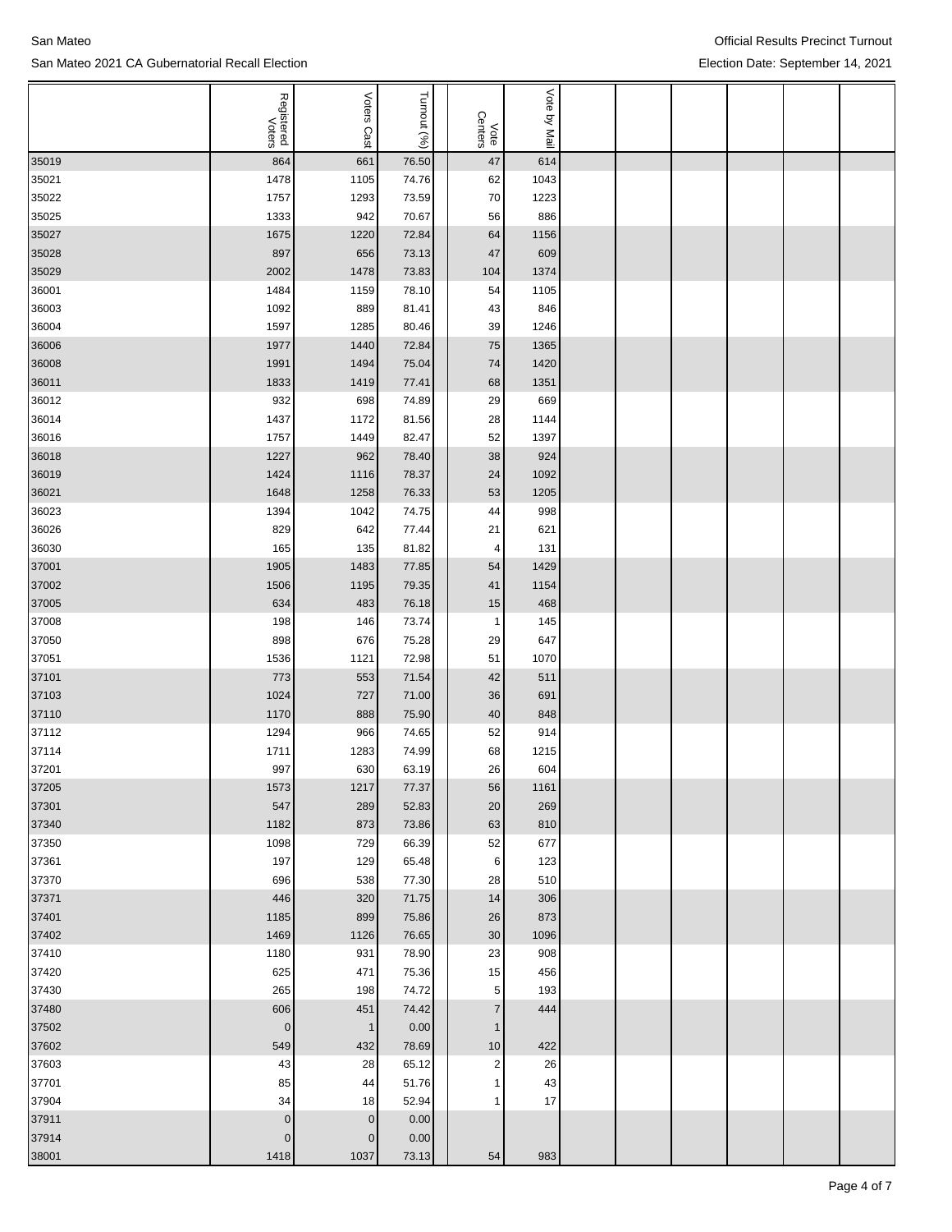|                | Registered<br>Voters | Voters<br>Cast  | Turnout (%)    | Vote<br>Centers | Vote by Mail |  |  |  |
|----------------|----------------------|-----------------|----------------|-----------------|--------------|--|--|--|
| 35019          | 864                  | 661             | 76.50          | 47              | 614          |  |  |  |
| 35021          | 1478                 | 1105            | 74.76          | 62              | 1043         |  |  |  |
| 35022          | 1757                 | 1293            | 73.59          | 70              | 1223         |  |  |  |
| 35025          | 1333                 | 942             | 70.67          | 56              | 886          |  |  |  |
| 35027          | 1675                 | 1220            | 72.84          | 64              | 1156         |  |  |  |
| 35028          | 897                  | 656             | 73.13          | 47              | 609          |  |  |  |
| 35029          | 2002                 | 1478            |                |                 | 1374         |  |  |  |
| 36001          | 1484                 | 1159            | 73.83          | 104<br>54       | 1105         |  |  |  |
| 36003          | 1092                 | 889             | 78.10          |                 |              |  |  |  |
| 36004          | 1597                 | 1285            | 81.41<br>80.46 | 43<br>39        | 846<br>1246  |  |  |  |
| 36006          | 1977                 | 1440            |                | 75              | 1365         |  |  |  |
|                |                      |                 | 72.84          |                 |              |  |  |  |
| 36008<br>36011 | 1991                 | 1494            | 75.04          | 74              | 1420         |  |  |  |
|                | 1833                 | 1419            | 77.41          | 68              | 1351         |  |  |  |
| 36012          | 932<br>1437          | 698<br>1172     | 74.89<br>81.56 | 29              | 669          |  |  |  |
| 36014          | 1757                 |                 |                | 28              | 1144         |  |  |  |
| 36016          |                      | 1449            | 82.47          | 52              | 1397         |  |  |  |
| 36018          | 1227                 | 962             | 78.40          | 38              | 924          |  |  |  |
| 36019          | 1424                 | 1116            | 78.37          | 24              | 1092         |  |  |  |
| 36021          | 1648                 | 1258            | 76.33          | 53              | 1205         |  |  |  |
| 36023          | 1394                 | 1042            | 74.75          | 44              | 998          |  |  |  |
| 36026          | 829                  | 642             | 77.44          | 21              | 621          |  |  |  |
| 36030          | 165                  | 135             | 81.82          | 4               | 131          |  |  |  |
| 37001          | 1905                 | 1483            | 77.85          | 54              | 1429         |  |  |  |
| 37002          | 1506                 | 1195            | 79.35          | 41              | 1154         |  |  |  |
| 37005          | 634                  | 483             | 76.18          | 15              | 468          |  |  |  |
| 37008          | 198                  | 146             | 73.74          | $\mathbf{1}$    | 145          |  |  |  |
| 37050          | 898                  | 676             | 75.28          | 29              | 647          |  |  |  |
| 37051          | 1536                 | 1121            | 72.98          | 51              | 1070         |  |  |  |
| 37101          | 773                  | 553             | 71.54          | 42              | 511          |  |  |  |
| 37103          | 1024                 | 727             | 71.00          | 36              | 691          |  |  |  |
| 37110          | 1170                 | 888             | 75.90          | 40              | 848          |  |  |  |
| 37112          | 1294                 | 966             | 74.65          | 52              | 914          |  |  |  |
| 37114          | 1711                 | 1283            | 74.99          | 68              | 1215         |  |  |  |
| 37201          | 997                  | 630             | 63.19          | 26              | 604          |  |  |  |
| 37205          | 1573                 | 1217            | 77.37          | 56              | 1161         |  |  |  |
| 37301          | 547                  | 289             | 52.83          | 20              | 269          |  |  |  |
| 37340          | 1182                 | 873             | 73.86          | 63              | 810          |  |  |  |
| 37350          | 1098                 | 729             | 66.39          | 52              | 677          |  |  |  |
| 37361          | 197                  | 129             | 65.48          | $6 \mid$        | 123          |  |  |  |
| 37370          | 696                  | 538             | 77.30          | 28              | 510          |  |  |  |
| 37371          | 446                  | 320             | 71.75          | 14              | 306          |  |  |  |
| 37401          | 1185                 | 899             | 75.86          | 26              | 873          |  |  |  |
| 37402          | 1469                 | 1126            | 76.65          | 30              | 1096         |  |  |  |
| 37410          | 1180                 | 931             | 78.90          | 23              | 908          |  |  |  |
| 37420          | 625                  | 471             | 75.36          | 15              | 456          |  |  |  |
| 37430          | 265                  | 198             | 74.72          | 5 <sup>5</sup>  | 193          |  |  |  |
| 37480          | 606                  | 451             | 74.42          | $\overline{7}$  | 444          |  |  |  |
| 37502          | $\vert 0 \vert$      | $\mathbf{1}$    | 0.00           | 1               |              |  |  |  |
| 37602          | 549                  | 432             | 78.69          | 10              | 422          |  |  |  |
| 37603          | 43                   | 28              | 65.12          | $\mathbf{2}$    | 26           |  |  |  |
| 37701          | 85                   | 44              | 51.76          | 1               | 43           |  |  |  |
| 37904          | 34                   | 18              | 52.94          | 1               | 17           |  |  |  |
| 37911          | $\mathbf 0$          | $\vert 0 \vert$ | 0.00           |                 |              |  |  |  |
| 37914          | $\mathbf 0$          | 0               | 0.00           |                 |              |  |  |  |
| 38001          | 1418                 | 1037            | 73.13          | 54              | 983          |  |  |  |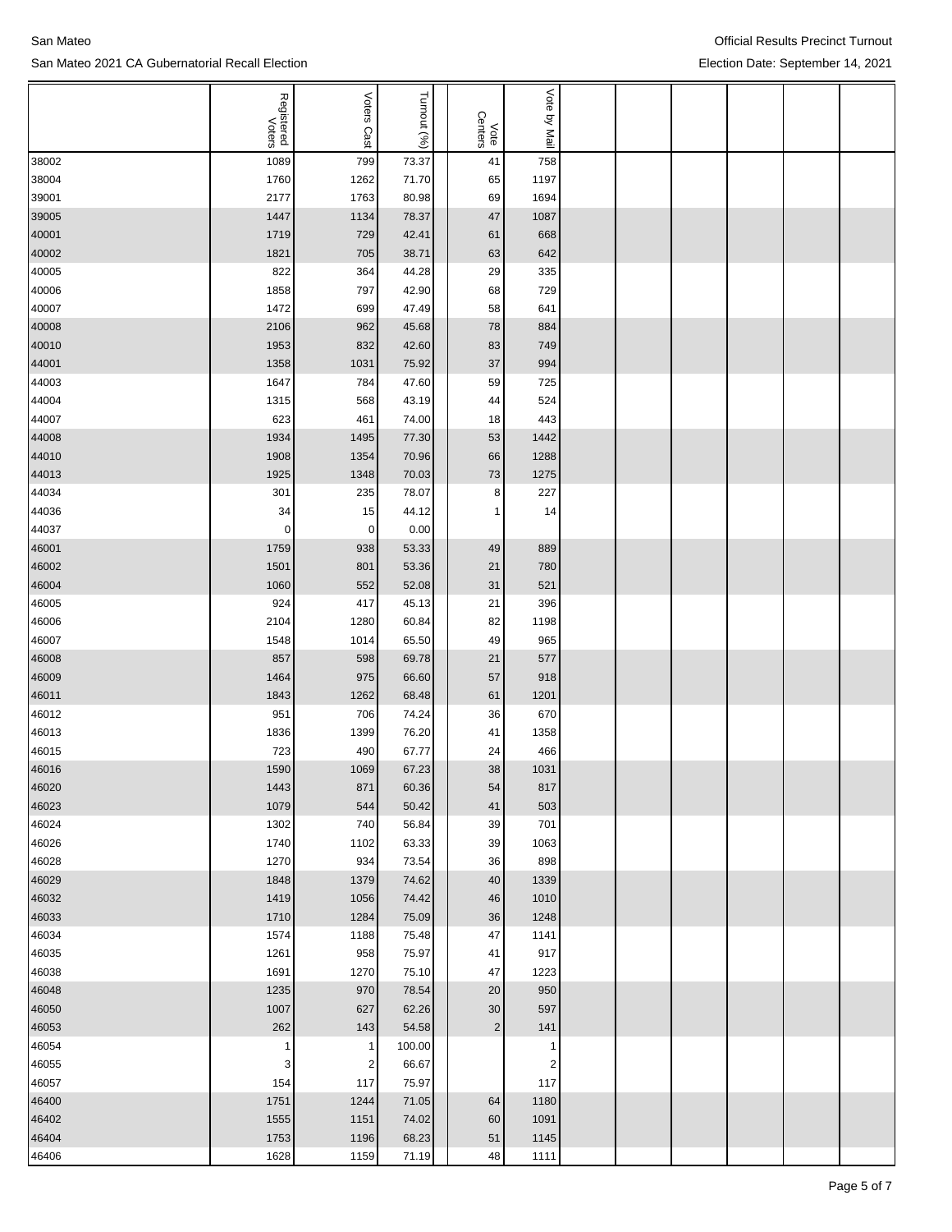|                | Registered<br>Voters | Voters<br>Cast | Turnout (%) | Vote<br>Centers | Vote by Mail   |  |  |  |
|----------------|----------------------|----------------|-------------|-----------------|----------------|--|--|--|
| 38002          | 1089                 | 799            | 73.37       | 41              | 758            |  |  |  |
| 38004          | 1760                 | 1262           | 71.70       | 65              | 1197           |  |  |  |
| 39001          | 2177                 | 1763           | 80.98       | 69              | 1694           |  |  |  |
| 39005          | 1447                 | 1134           | 78.37       | 47              | 1087           |  |  |  |
| 40001          | 1719                 | 729            | 42.41       | 61              | 668            |  |  |  |
| 40002          | 1821                 | 705            | 38.71       | 63              | 642            |  |  |  |
| 40005          | 822                  | 364            | 44.28       | 29              | 335            |  |  |  |
| 40006          | 1858                 | 797            | 42.90       | 68              | 729            |  |  |  |
| 40007          | 1472                 | 699            | 47.49       | 58              | 641            |  |  |  |
| 40008          | 2106                 | 962            | 45.68       | 78              | 884            |  |  |  |
| 40010          | 1953                 |                | 42.60       |                 |                |  |  |  |
|                |                      | 832            |             | 83              | 749            |  |  |  |
| 44001          | 1358                 | 1031           | 75.92       | 37              | 994            |  |  |  |
| 44003          | 1647                 | 784            | 47.60       | 59              | 725            |  |  |  |
| 44004          | 1315                 | 568            | 43.19       | 44              | 524            |  |  |  |
| 44007          | 623                  | 461            | 74.00       | 18              | 443            |  |  |  |
| 44008          | 1934                 | 1495           | 77.30       | 53              | 1442           |  |  |  |
| 44010          | 1908                 | 1354           | 70.96       | 66              | 1288           |  |  |  |
| 44013          | 1925                 | 1348           | 70.03       | 73              | 1275           |  |  |  |
| 44034          | 301                  | 235            | 78.07       | 8               | 227            |  |  |  |
| 44036          | 34                   | 15             | 44.12       | 1               | 14             |  |  |  |
| 44037          | $\mathbf 0$          | 0              | 0.00        |                 |                |  |  |  |
| 46001          | 1759                 | 938            | 53.33       | 49              | 889            |  |  |  |
| 46002          | 1501                 | 801            | 53.36       | 21              | 780            |  |  |  |
| 46004          | 1060                 | 552            | 52.08       | 31              | 521            |  |  |  |
| 46005          | 924                  | 417            | 45.13       | 21              | 396            |  |  |  |
| 46006          | 2104                 | 1280           | 60.84       | 82              | 1198           |  |  |  |
| 46007          | 1548                 | 1014           | 65.50       | 49              | 965            |  |  |  |
| 46008          | 857                  | 598            | 69.78       | 21              | 577            |  |  |  |
| 46009          | 1464                 | 975            | 66.60       | 57              | 918            |  |  |  |
| 46011          | 1843                 | 1262           | 68.48       | 61              | 1201           |  |  |  |
| 46012          | 951                  | 706            | 74.24       | 36              | 670            |  |  |  |
| 46013          | 1836                 | 1399           | 76.20       | 41              | 1358           |  |  |  |
| 46015          | 723                  | 490            | 67.77       | 24              | 466            |  |  |  |
| 46016          | 1590                 | 1069           | 67.23       | 38              | 1031           |  |  |  |
| 46020          | 1443                 | 871            | 60.36       | 54              | 817            |  |  |  |
| 46023          | 1079                 | 544            | 50.42       | 41              | 503            |  |  |  |
| 46024          | 1302                 | 740            | 56.84       | 39              | 701            |  |  |  |
| 46026          | 1740                 | 1102           | 63.33       | 39              | 1063           |  |  |  |
| 46028          | 1270                 | 934            | 73.54       | 36              | 898            |  |  |  |
| 46029          | 1848                 | 1379           | 74.62       | 40              | 1339           |  |  |  |
| 46032          | 1419                 | 1056           | 74.42       | 46              | 1010           |  |  |  |
| 46033          | 1710                 | 1284           | 75.09       | 36              | 1248           |  |  |  |
| 46034          | 1574                 | 1188           | 75.48       | 47              | 1141           |  |  |  |
| 46035          | 1261                 | 958            | 75.97       | 41              | 917            |  |  |  |
| 46038          | 1691                 | 1270           | 75.10       | 47              | 1223           |  |  |  |
| 46048          | 1235                 | 970            | 78.54       | 20              | 950            |  |  |  |
| 46050          | 1007                 | 627            | 62.26       | 30 <sup>2</sup> | 597            |  |  |  |
| 46053          | 262                  | 143            | 54.58       | $\mathbf{2}$    | 141            |  |  |  |
| 46054          | 1                    | 1              | 100.00      |                 | 1              |  |  |  |
| 46055          | 3                    | $\overline{2}$ | 66.67       |                 | $\overline{2}$ |  |  |  |
|                | 154                  | 117            | 75.97       |                 | 117            |  |  |  |
| 46057<br>46400 | 1751                 | 1244           | 71.05       | 64              | 1180           |  |  |  |
|                |                      |                | 74.02       |                 | 1091           |  |  |  |
| 46402          | 1555                 | 1151           |             | 60              |                |  |  |  |
| 46404          | 1753                 | 1196           | 68.23       | 51              | 1145           |  |  |  |
| 46406          | 1628                 | 1159           | 71.19       | 48              | 1111           |  |  |  |

Official Results Precinct Turnout Election Date: September 14, 2021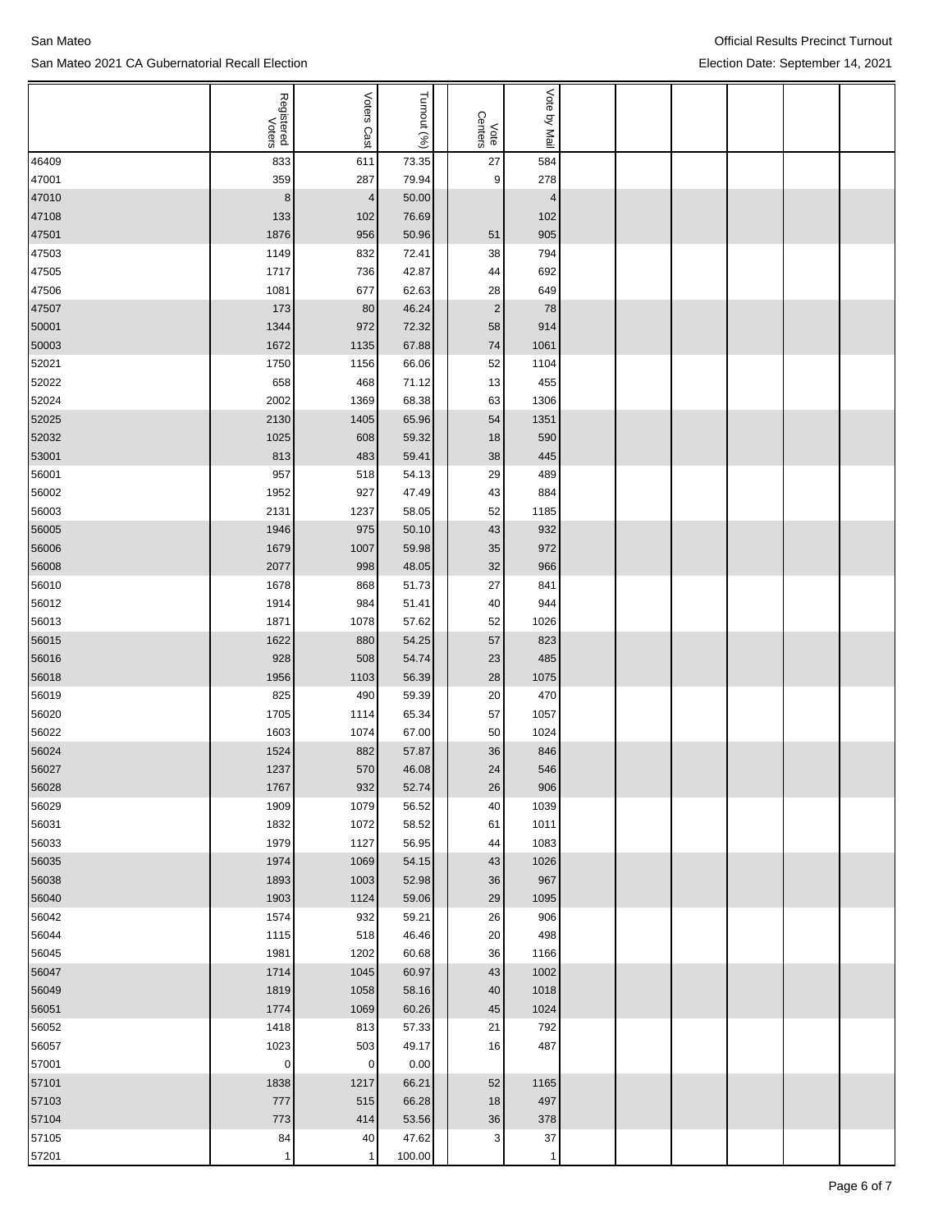|                | Registered<br>Voters | Voters<br>:Cast | Turnout (%)    | Vote<br>Centers | Vote by Mail   |  |  |  |
|----------------|----------------------|-----------------|----------------|-----------------|----------------|--|--|--|
| 46409          | 833                  | 611             | 73.35          | 27              | 584            |  |  |  |
| 47001          | 359                  | 287             | 79.94          | 9               | 278            |  |  |  |
| 47010          | $\bf 8$              | $\vert 4 \vert$ | 50.00          |                 | $\overline{4}$ |  |  |  |
| 47108          | 133                  | 102             | 76.69          |                 | 102            |  |  |  |
| 47501          | 1876                 | 956             | 50.96          | 51              | 905            |  |  |  |
| 47503          | 1149                 | 832             | 72.41          | 38              | 794            |  |  |  |
| 47505          | 1717                 | 736             | 42.87          | 44              | 692            |  |  |  |
| 47506          | 1081                 | 677             | 62.63          | 28              | 649            |  |  |  |
| 47507          | 173                  | 80              | 46.24          | $\overline{2}$  | 78             |  |  |  |
| 50001          | 1344                 | 972             | 72.32          | 58              | 914            |  |  |  |
| 50003          | 1672                 | 1135            | 67.88          | 74              | 1061           |  |  |  |
| 52021          | 1750                 | 1156            | 66.06          | 52              | 1104           |  |  |  |
| 52022          | 658                  | 468             | 71.12          | 13              | 455            |  |  |  |
| 52024          | 2002                 | 1369            | 68.38          | 63              | 1306           |  |  |  |
| 52025          | 2130                 | 1405            | 65.96          | 54              | 1351           |  |  |  |
| 52032          | 1025                 | 608             | 59.32          | 18              | 590            |  |  |  |
| 53001          | 813                  | 483             | 59.41          | 38              | 445            |  |  |  |
| 56001          | 957                  | 518             | 54.13          | 29              | 489            |  |  |  |
| 56002          | 1952                 | 927             | 47.49          | 43              | 884            |  |  |  |
| 56003          | 2131                 | 1237            | 58.05          | 52              | 1185           |  |  |  |
| 56005          | 1946                 | 975             | 50.10          | 43              | 932            |  |  |  |
| 56006          | 1679                 | 1007            | 59.98          | 35              | 972            |  |  |  |
| 56008          | 2077                 | 998             | 48.05          | 32              | 966            |  |  |  |
| 56010          | 1678                 | 868             | 51.73          | 27              | 841            |  |  |  |
| 56012          | 1914                 | 984             | 51.41          | 40              | 944            |  |  |  |
| 56013          | 1871                 | 1078            | 57.62          | 52              | 1026           |  |  |  |
| 56015          | 1622                 | 880             | 54.25          | 57              | 823            |  |  |  |
| 56016          | 928                  | 508             | 54.74          | 23              | 485            |  |  |  |
| 56018          | 1956                 | 1103            | 56.39          | 28              | 1075           |  |  |  |
| 56019          | 825                  | 490             | 59.39          | 20              | 470            |  |  |  |
| 56020          | 1705                 | 1114            | 65.34          | 57              | 1057           |  |  |  |
| 56022          | 1603                 | 1074            | 67.00          | 50              | 1024           |  |  |  |
| 56024          | 1524                 | 882             | 57.87          | 36              | 846            |  |  |  |
| 56027          | 1237                 | 570             | 46.08          | 24              | 546            |  |  |  |
| 56028<br>56029 | 1767<br>1909         | 932<br>1079     | 52.74<br>56.52 | 26<br>40        | 906<br>1039    |  |  |  |
| 56031          | 1832                 | 1072            | 58.52          | 61              | 1011           |  |  |  |
| 56033          | 1979                 | 1127            | 56.95          | 44              | 1083           |  |  |  |
| 56035          | 1974                 | 1069            | 54.15          | 43              | 1026           |  |  |  |
| 56038          | 1893                 | 1003            | 52.98          | 36              | 967            |  |  |  |
| 56040          | 1903                 | 1124            | 59.06          | 29              | 1095           |  |  |  |
| 56042          | 1574                 | 932             | 59.21          | 26              | 906            |  |  |  |
| 56044          | 1115                 | 518             | 46.46          | 20              | 498            |  |  |  |
| 56045          | 1981                 | 1202            | 60.68          | 36              | 1166           |  |  |  |
| 56047          | 1714                 | 1045            | 60.97          | 43              | 1002           |  |  |  |
| 56049          | 1819                 | 1058            | 58.16          | 40              | 1018           |  |  |  |
| 56051          | 1774                 | 1069            | 60.26          | 45              | 1024           |  |  |  |
| 56052          | 1418                 | 813             | 57.33          | 21              | 792            |  |  |  |
| 56057          | 1023                 | 503             | 49.17          | 16              | 487            |  |  |  |
| 57001          | $\pmb{0}$            | $\overline{0}$  | 0.00           |                 |                |  |  |  |
| 57101          | 1838                 | 1217            | 66.21          | 52              | 1165           |  |  |  |
| 57103          | 777                  | 515             | 66.28          | 18              | 497            |  |  |  |
| 57104          | 773                  | 414             | 53.56          | 36              | 378            |  |  |  |
| 57105          | 84                   | 40              | 47.62          | $\mathbf{3}$    | 37             |  |  |  |
| 57201          | $\mathbf{1}$         | $\mathbf{1}$    | 100.00         |                 | $\mathbf{1}$   |  |  |  |

San Mateo San Mateo 2021 CA Gubernatorial Recall Election